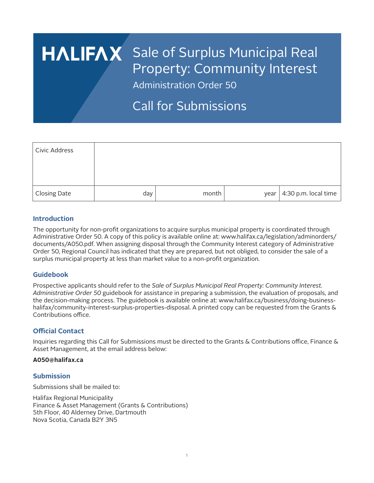# HALIFAX Sale of Surplus Municipal Real Property: Community Interest

Administration Order 50

## Call for Submissions

| Civic Address |     |       |                              |
|---------------|-----|-------|------------------------------|
|               |     |       |                              |
|               |     |       |                              |
| Closing Date  | day | month | year $ 4:30$ p.m. local time |

#### **Introduction**

The opportunity for non-profit organizations to acquire surplus municipal property is coordinated through Administrative Order 50. A copy of this policy is available online at: www.halifax.ca/legislation/adminorders/ documents/A050.pdf. When assigning disposal through the Community Interest category of Administrative Order 50, Regional Council has indicated that they are prepared, but not obliged, to consider the sale of a surplus municipal property at less than market value to a non-profit organization.

#### **Guidebook**

Prospective applicants should refer to the *Sale of Surplus Municipal Real Property: Community Interest. Administrative Order 50* guidebook for assistance in preparing a submission, the evaluation of proposals, and the decision-making process. The guidebook is available online at: www.halifax.ca/business/doing-businesshalifax/community-interest-surplus-properties-disposal. A printed copy can be requested from the Grants & Contributions office.

#### **Official Contact**

Inquiries regarding this Call for Submissions must be directed to the Grants & Contributions office, Finance & Asset Management, at the email address below:

#### **A050@halifax.ca**

#### **Submission**

Submissions shall be mailed to:

Halifax Regional Municipality Finance & Asset Management (Grants & Contributions) 5th Floor, 40 Alderney Drive, Dartmouth Nova Scotia, Canada B2Y 3N5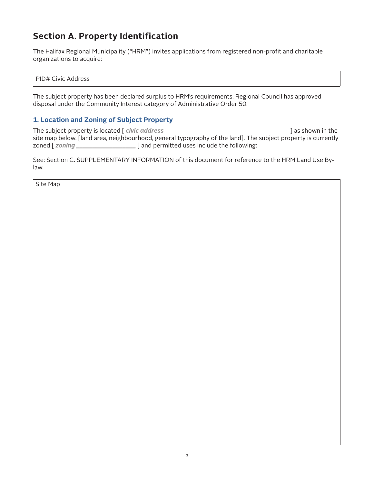### **Section A. Property Identification**

The Halifax Regional Municipality ("HRM") invites applications from registered non-profit and charitable organizations to acquire:

PID# Civic Address

The subject property has been declared surplus to HRM's requirements. Regional Council has approved disposal under the Community Interest category of Administrative Order 50.

#### **1. Location and Zoning of Subject Property**

The subject property is located [ *civic address* \_\_\_\_\_\_\_\_\_\_\_\_\_\_\_\_\_\_\_\_\_\_\_\_\_\_\_\_\_\_\_\_\_\_\_\_\_ ] as shown in the site map below. [land area, neighbourhood, general typography of the land]. The subject property is currently zoned [ *zoning \_\_\_\_\_\_\_\_\_\_\_\_\_\_\_\_\_\_* ] and permitted uses include the following:

See: Section C. SUPPLEMENTARY INFORMATION of this document for reference to the HRM Land Use Bylaw.

Site Map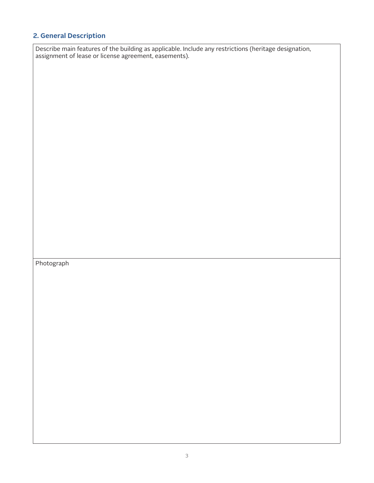#### **2. General Description**

Describe main features of the building as applicable. Include any restrictions (heritage designation, assignment of lease or license agreement, easements).

Photograph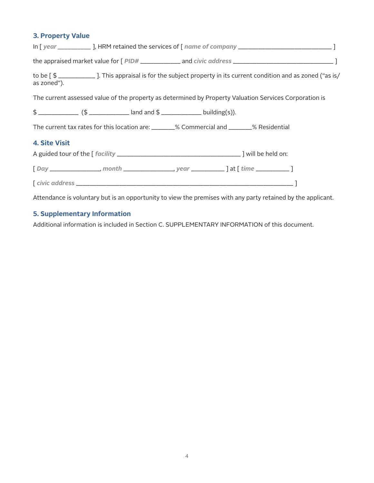#### **3. Property Value**

| In [year _____________], HRM retained the services of [name of company ___________________________________]                        |  |  |  |  |
|------------------------------------------------------------------------------------------------------------------------------------|--|--|--|--|
|                                                                                                                                    |  |  |  |  |
| to be [\$ _____________]. This appraisal is for the subject property in its current condition and as zoned ("as is/<br>as zoned"). |  |  |  |  |
| The current assessed value of the property as determined by Property Valuation Services Corporation is                             |  |  |  |  |
|                                                                                                                                    |  |  |  |  |
| The current tax rates for this location are: _______% Commercial and _______% Residential                                          |  |  |  |  |
| <b>4. Site Visit</b>                                                                                                               |  |  |  |  |
|                                                                                                                                    |  |  |  |  |
| [Day _______________, month _______________, year _____________] at [ time ____________]                                           |  |  |  |  |
|                                                                                                                                    |  |  |  |  |
| Attendance is voluntary but is an opportunity to view the premises with any party retained by the applicant.                       |  |  |  |  |

#### **5. Supplementary Information**

Additional information is included in Section C. SUPPLEMENTARY INFORMATION of this document.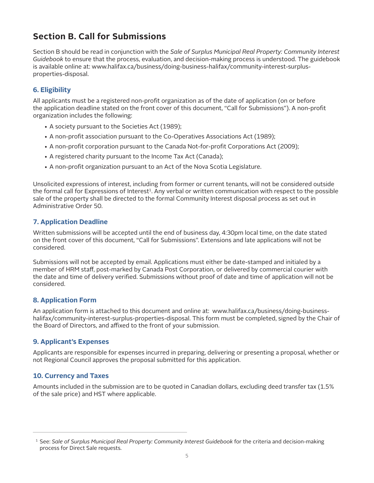### **Section B. Call for Submissions**

Section B should be read in conjunction with the *Sale of Surplus Municipal Real Property: Community Interest Guidebook* to ensure that the process, evaluation, and decision-making process is understood. The guidebook is available online at: www.halifax.ca/business/doing-business-halifax/community-interest-surplusproperties-disposal.

#### **6. Eligibility**

All applicants must be a registered non-profit organization as of the date of application (on or before the application deadline stated on the front cover of this document, "Call for Submissions"). A non-profit organization includes the following:

- A society pursuant to the Societies Act (1989);
- A non-profit association pursuant to the Co-Operatives Associations Act (1989);
- A non-profit corporation pursuant to the Canada Not-for-profit Corporations Act (2009);
- A registered charity pursuant to the Income Tax Act (Canada);
- A non-profit organization pursuant to an Act of the Nova Scotia Legislature.

Unsolicited expressions of interest, including from former or current tenants, will not be considered outside the formal call for Expressions of Interest<sup>1</sup>. Any verbal or written communication with respect to the possible sale of the property shall be directed to the formal Community Interest disposal process as set out in Administrative Order 50.

#### **7. Application Deadline**

Written submissions will be accepted until the end of business day, 4:30pm local time, on the date stated on the front cover of this document, "Call for Submissions". Extensions and late applications will not be considered.

Submissions will not be accepted by email. Applications must either be date-stamped and initialed by a member of HRM staff, post-marked by Canada Post Corporation, or delivered by commercial courier with the date and time of delivery verified. Submissions without proof of date and time of application will not be considered.

#### **8. Application Form**

An application form is attached to this document and online at: www.halifax.ca/business/doing-businesshalifax/community-interest-surplus-properties-disposal. This form must be completed, signed by the Chair of the Board of Directors, and affixed to the front of your submission.

#### **9. Applicant's Expenses**

Applicants are responsible for expenses incurred in preparing, delivering or presenting a proposal, whether or not Regional Council approves the proposal submitted for this application.

#### **10. Currency and Taxes**

Amounts included in the submission are to be quoted in Canadian dollars, excluding deed transfer tax (1.5% of the sale price) and HST where applicable.

 <sup>1</sup> See: *Sale of Surplus Municipal Real Property: Community Interest Guidebook* for the criteria and decision-making process for Direct Sale requests.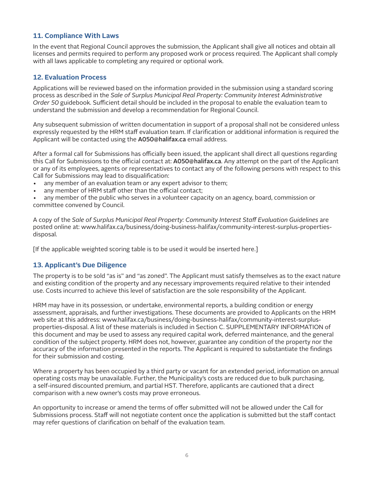#### **11. Compliance With Laws**

In the event that Regional Council approves the submission, the Applicant shall give all notices and obtain all licenses and permits required to perform any proposed work or process required. The Applicant shall comply with all laws applicable to completing any required or optional work.

#### **12. Evaluation Process**

Applications will be reviewed based on the information provided in the submission using a standard scoring process as described in the *Sale of Surplus Municipal Real Property: Community Interest Administrative Order 50* guidebook. Sufficient detail should be included in the proposal to enable the evaluation team to understand the submission and develop a recommendation for Regional Council.

Any subsequent submission of written documentation in support of a proposal shall not be considered unless expressly requested by the HRM staff evaluation team. If clarification or additional information is required the Applicant will be contacted using the A050@halifax.ca email address.

After a formal call for Submissions has officially been issued, the applicant shall direct all questions regarding this Call for Submissions to the official contact at: A050@halifax.ca. Any attempt on the part of the Applicant or any of its employees, agents or representatives to contact any of the following persons with respect to this Call for Submissions may lead to disqualification:

- any member of an evaluation team or any expert advisor to them;
- any member of HRM staff other than the official contact;

• any member of the public who serves in a volunteer capacity on an agency, board, commission or committee convened by Council.

A copy of the *Sale of Surplus Municipal Real Property: Community Interest Staff Evaluation Guidelines* are posted online at: www.halifax.ca/business/doing-business-halifax/community-interest-surplus-propertiesdisposal.

[If the applicable weighted scoring table is to be used it would be inserted here.]

#### **13. Applicant's Due Diligence**

The property is to be sold "as is" and "as zoned". The Applicant must satisfy themselves as to the exact nature and existing condition of the property and any necessary improvements required relative to their intended use. Costs incurred to achieve this level of satisfaction are the sole responsibility of the Applicant.

HRM may have in its possession, or undertake, environmental reports, a building condition or energy assessment, appraisals, and further investigations. These documents are provided to Applicants on the HRM web site at this address: www.halifax.ca/business/doing-business-halifax/community-interest-surplusproperties-disposal. A list of these materials is included in Section C. SUPPLEMENTARY INFORMATION of this document and may be used to assess any required capital work, deferred maintenance, and the general condition of the subject property. HRM does not, however, guarantee any condition of the property nor the accuracy of the information presented in the reports. The Applicant is required to substantiate the findings for their submission and costing.

Where a property has been occupied by a third party or vacant for an extended period, information on annual operating costs may be unavailable. Further, the Municipality's costs are reduced due to bulk purchasing, a self-insured discounted premium, and partial HST. Therefore, applicants are cautioned that a direct comparison with a new owner's costs may prove erroneous.

An opportunity to increase or amend the terms of offer submitted will not be allowed under the Call for Submissions process. Staff will not negotiate content once the application is submitted but the staff contact may refer questions of clarification on behalf of the evaluation team.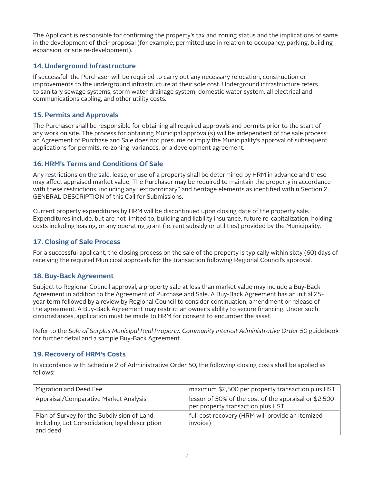The Applicant is responsible for confirming the property's tax and zoning status and the implications of same in the development of their proposal (for example, permitted use in relation to occupancy, parking, building expansion, or site re-development).

#### **14. Underground Infrastructure**

If successful, the Purchaser will be required to carry out any necessary relocation, construction or improvements to the underground infrastructure at their sole cost. Underground infrastructure refers to sanitary sewage systems, storm water drainage system, domestic water system, all electrical and communications cabling, and other utility costs.

#### **15. Permits and Approvals**

The Purchaser shall be responsible for obtaining all required approvals and permits prior to the start of any work on site. The process for obtaining Municipal approval(s) will be independent of the sale process; an Agreement of Purchase and Sale does not presume or imply the Municipality's approval of subsequent applications for permits, re-zoning, variances, or a development agreement.

#### **16. HRM's Terms and Conditions Of Sale**

Any restrictions on the sale, lease, or use of a property shall be determined by HRM in advance and these may affect appraised market value. The Purchaser may be required to maintain the property in accordance with these restrictions, including any "extraordinary" and heritage elements as identified within Section 2. GENERAL DESCRIPTION of this Call for Submissions.

Current property expenditures by HRM will be discontinued upon closing date of the property sale. Expenditures include, but are not limited to, building and liability insurance, future re-capitalization, holding costs including leasing, or any operating grant (ie. rent subsidy or utilities) provided by the Municipality.

#### **17. Closing of Sale Process**

For a successful applicant, the closing process on the sale of the property is typically within sixty (60) days of receiving the required Municipal approvals for the transaction following Regional Council's approval.

#### **18. Buy-Back Agreement**

Subject to Regional Council approval, a property sale at less than market value may include a Buy-Back Agreement in addition to the Agreement of Purchase and Sale. A Buy-Back Agreement has an initial 25 year term followed by a review by Regional Council to consider continuation, amendment or release of the agreement. A Buy-Back Agreement may restrict an owner's ability to secure financing. Under such circumstances, application must be made to HRM for consent to encumber the asset.

Refer to the *Sale of Surplus Municipal Real Property: Community Interest Administrative Order 50* guidebook for further detail and a sample Buy-Back Agreement.

#### **19. Recovery of HRM's Costs**

In accordance with Schedule 2 of Administrative Order 50, the following closing costs shall be applied as follows:

| Migration and Deed Fee                                                                                    | maximum \$2,500 per property transaction plus HST                                          |  |
|-----------------------------------------------------------------------------------------------------------|--------------------------------------------------------------------------------------------|--|
| Appraisal/Comparative Market Analysis                                                                     | lessor of 50% of the cost of the appraisal or \$2,500<br>per property transaction plus HST |  |
| Plan of Survey for the Subdivision of Land,<br>Including Lot Consolidation, legal description<br>and deed | full cost recovery (HRM will provide an itemized<br>invoice)                               |  |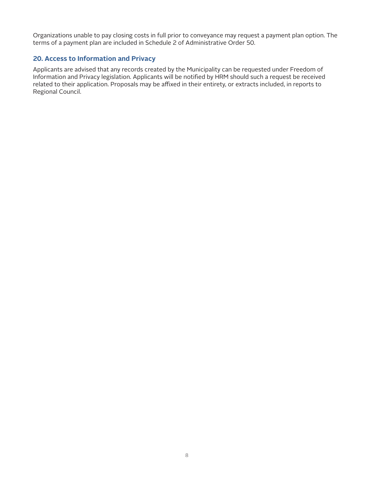Organizations unable to pay closing costs in full prior to conveyance may request a payment plan option. The terms of a payment plan are included in Schedule 2 of Administrative Order 50.

#### **20. Access to Information and Privacy**

Applicants are advised that any records created by the Municipality can be requested under Freedom of Information and Privacy legislation. Applicants will be notified by HRM should such a request be received related to their application. Proposals may be affixed in their entirety, or extracts included, in reports to Regional Council.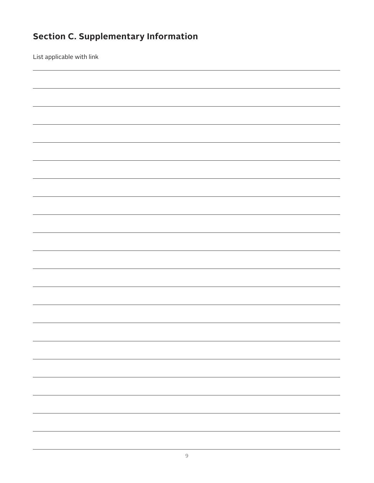## **Section C. Supplementary Information**

List applicable with link

| <u> 1989 - Andrea Santa Andrea Andrea Andrea Andrea Andrea Andrea Andrea Andrea Andrea Andrea Andrea Andrea Andr</u> |
|----------------------------------------------------------------------------------------------------------------------|
|                                                                                                                      |
|                                                                                                                      |
|                                                                                                                      |
|                                                                                                                      |
|                                                                                                                      |
|                                                                                                                      |
|                                                                                                                      |
|                                                                                                                      |
|                                                                                                                      |
|                                                                                                                      |
|                                                                                                                      |
|                                                                                                                      |
|                                                                                                                      |
|                                                                                                                      |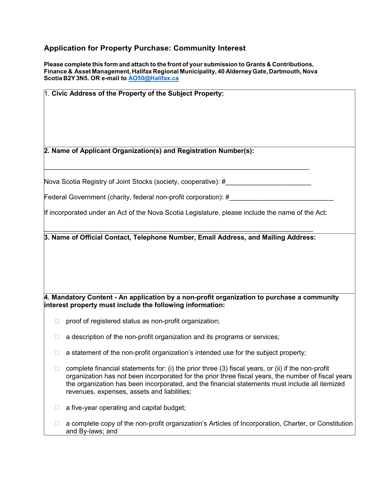#### **Application for Property Purchase: Community Interest**

**Please complete this form and attach to the front of your submission to Grants & Contributions, Finance & Asset Management, Halifax Regional Municipality, 40 AlderneyGate, Dartmouth, Nova Scotia B2Y3N5. OR e-mail to [AO50@Halifax.ca](mailto:AO50@Halifax.ca)** 

| 1. Civic Address of the Property of the Subject Property:                                        |                                                                                                                                                                                                                                                                                                                                                            |  |  |  |
|--------------------------------------------------------------------------------------------------|------------------------------------------------------------------------------------------------------------------------------------------------------------------------------------------------------------------------------------------------------------------------------------------------------------------------------------------------------------|--|--|--|
|                                                                                                  | 2. Name of Applicant Organization(s) and Registration Number(s):                                                                                                                                                                                                                                                                                           |  |  |  |
|                                                                                                  | Nova Scotia Registry of Joint Stocks (society, cooperative): #____                                                                                                                                                                                                                                                                                         |  |  |  |
| Federal Government (charity, federal non-profit corporation): #                                  |                                                                                                                                                                                                                                                                                                                                                            |  |  |  |
| If incorporated under an Act of the Nova Scotia Legislature, please include the name of the Act: |                                                                                                                                                                                                                                                                                                                                                            |  |  |  |
|                                                                                                  | 4. Mandatory Content - An application by a non-profit organization to purchase a community<br>interest property must include the following information:                                                                                                                                                                                                    |  |  |  |
| П                                                                                                | proof of registered status as non-profit organization;                                                                                                                                                                                                                                                                                                     |  |  |  |
| $\Box$                                                                                           | a description of the non-profit organization and its programs or services;                                                                                                                                                                                                                                                                                 |  |  |  |
|                                                                                                  | a statement of the non-profit organization's intended use for the subject property;                                                                                                                                                                                                                                                                        |  |  |  |
|                                                                                                  | complete financial statements for: (i) the prior three (3) fiscal years, or (ii) if the non-profit<br>organization has not been incorporated for the prior three fiscal years, the number of fiscal years<br>the organization has been incorporated, and the financial statements must include all itemized<br>revenues, expenses, assets and liabilities; |  |  |  |
| L                                                                                                | a five-year operating and capital budget;                                                                                                                                                                                                                                                                                                                  |  |  |  |
| П                                                                                                | a complete copy of the non-profit organization's Articles of Incorporation, Charter, or Constitution<br>and By-laws; and                                                                                                                                                                                                                                   |  |  |  |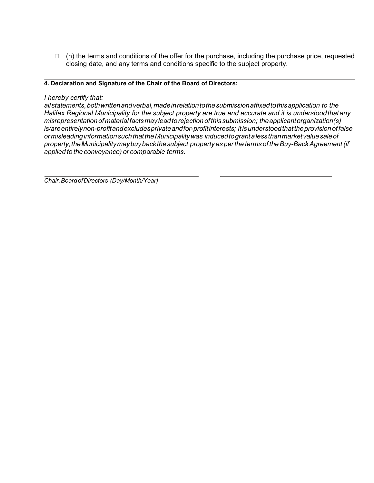□ (h) the terms and conditions of the offer for the purchase, including the purchase price, requested closing date, and any terms and conditions specific to the subject property.

#### **4. Declaration and Signature of the Chair of the Board of Directors:**

#### *I hereby certify that:*

*allstatements,bothwrittenandverbal,madeinrelationtothe submission affixedtothisapplication to the Halifax Regional Municipality for the subject property are true and accurate and it is understoodthatany misrepresentationofmaterialfactsmay leadtorejectionofthis submission; theapplicantorganization(s) is/areentirelynon-profitandexcludesprivateandfor-profitinterests; itisunderstoodthattheprovisionoffalse ormisleadinginformation such thattheMunicipalitywas inducedtogrant a lessthanmarketvaluesaleof property,theMunicipalitymaybuybackthesubject property as perthe terms of theBuy-BackAgreement(if applied to the conveyance) or comparable terms.*

*Chair,BoardofDirectors (Day/Month/Year)*